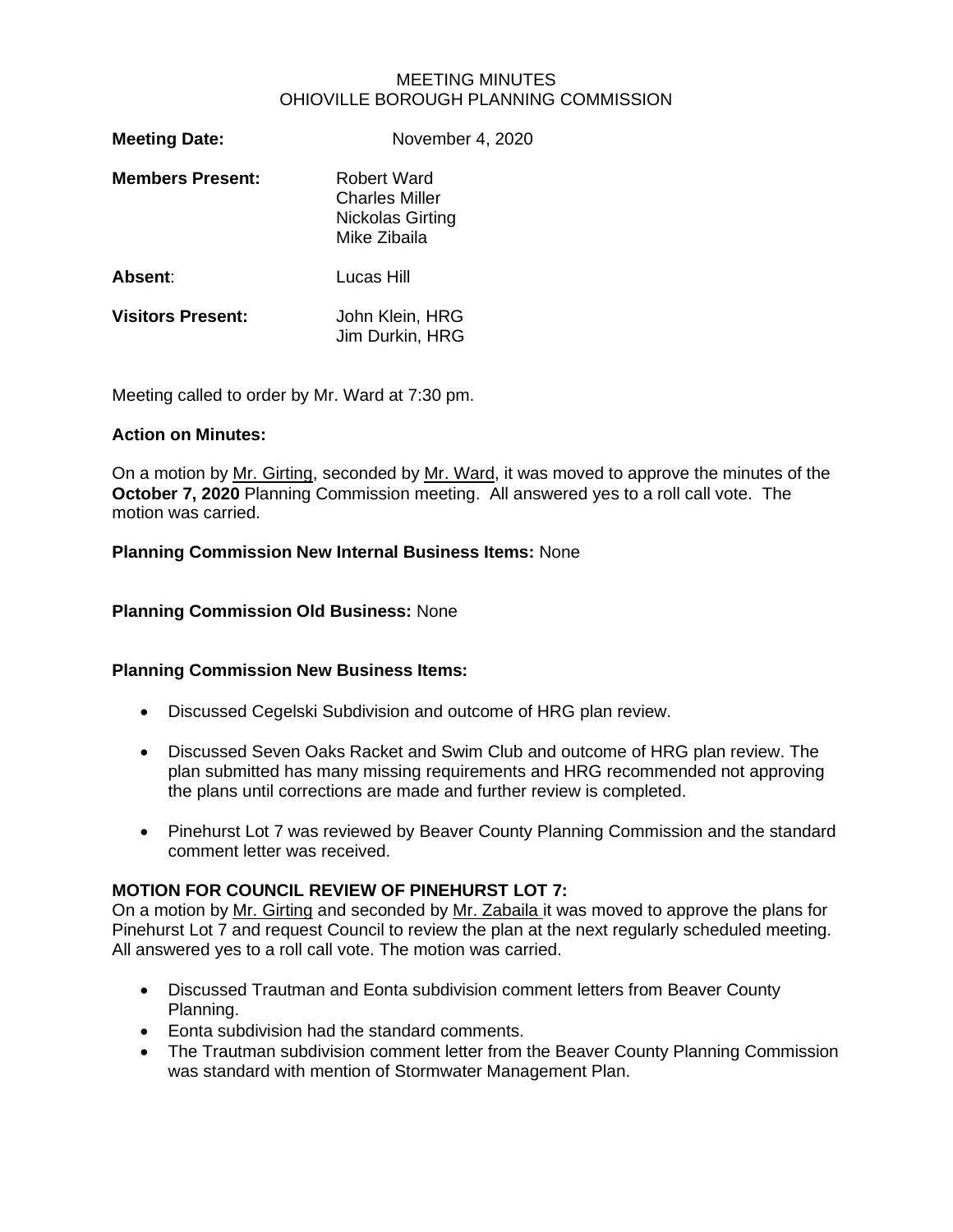### MEETING MINUTES OHIOVILLE BOROUGH PLANNING COMMISSION

| <b>Meeting Date:</b>     | November 4, 2020                                                                |
|--------------------------|---------------------------------------------------------------------------------|
| <b>Members Present:</b>  | Robert Ward<br><b>Charles Miller</b><br><b>Nickolas Girting</b><br>Mike Zibaila |
| Absent:                  | Lucas Hill                                                                      |
| <b>Visitors Present:</b> | John Klein, HRG<br>Jim Durkin, HRG                                              |

Meeting called to order by Mr. Ward at 7:30 pm.

### **Action on Minutes:**

On a motion by Mr. Girting, seconded by Mr. Ward, it was moved to approve the minutes of the **October 7, 2020** Planning Commission meeting. All answered yes to a roll call vote. The motion was carried.

### **Planning Commission New Internal Business Items:** None

**Planning Commission Old Business:** None

# **Planning Commission New Business Items:**

- Discussed Cegelski Subdivision and outcome of HRG plan review.
- Discussed Seven Oaks Racket and Swim Club and outcome of HRG plan review. The plan submitted has many missing requirements and HRG recommended not approving the plans until corrections are made and further review is completed.
- Pinehurst Lot 7 was reviewed by Beaver County Planning Commission and the standard comment letter was received.

# **MOTION FOR COUNCIL REVIEW OF PINEHURST LOT 7:**

On a motion by Mr. Girting and seconded by Mr. Zabaila it was moved to approve the plans for Pinehurst Lot 7 and request Council to review the plan at the next regularly scheduled meeting. All answered yes to a roll call vote. The motion was carried.

- Discussed Trautman and Eonta subdivision comment letters from Beaver County Planning.
- Eonta subdivision had the standard comments.
- The Trautman subdivision comment letter from the Beaver County Planning Commission was standard with mention of Stormwater Management Plan.